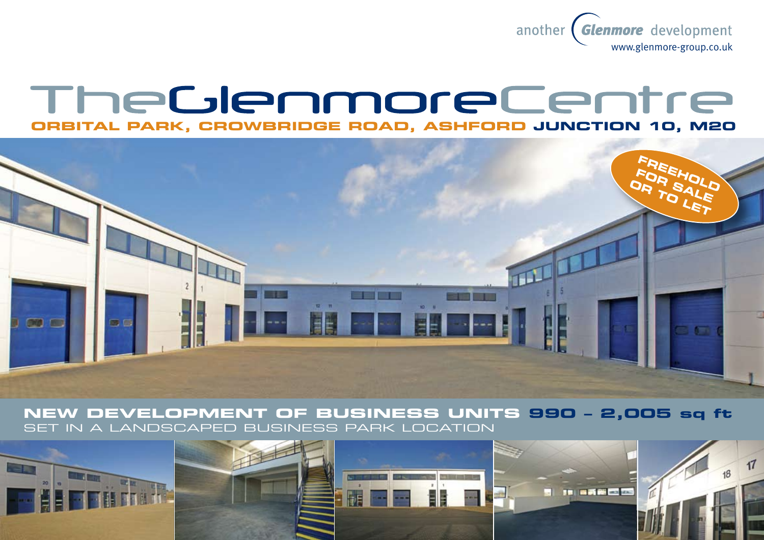

# TheGlenmoreCentre **ORBITAL PARK, CROWBRIDGE ROAD, ASHFORD JUNCTION 10, M20**



**New development of business units 990 – 2,005 sq ft** set in a landscaped business park location